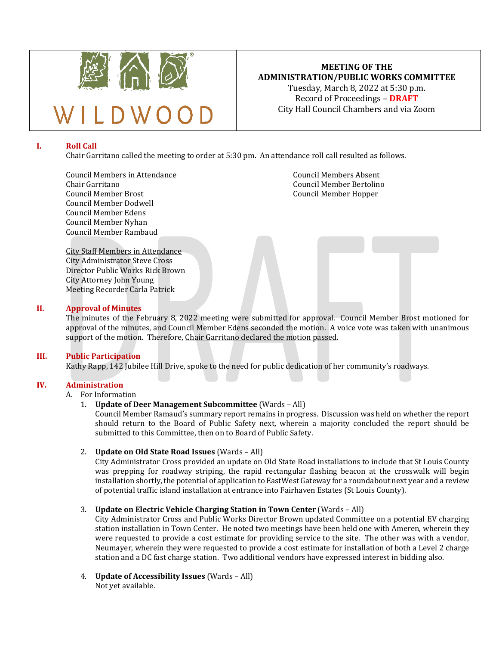

# **MEETING OF THE ADMINISTRATION/PUBLIC WORKS COMMITTEE**

Tuesday, March 8, 2022 at 5:30 p.m. Record of Proceedings – **DRAFT** City Hall Council Chambers and via Zoom

# **I. Roll Call**

Chair Garritano called the meeting to order at 5:30 pm. An attendance roll call resulted as follows.

Council Members in Attendance Council Members Absent Chair Garritano Council Member Bertolino Council Member Dodwell Council Member Edens Council Member Nyhan Council Member Rambaud

Council Member Hopper

City Staff Members in Attendance City Administrator Steve Cross Director Public Works Rick Brown City Attorney John Young Meeting Recorder Carla Patrick

### **II. Approval of Minutes**

The minutes of the February 8, 2022 meeting were submitted for approval. Council Member Brost motioned for approval of the minutes, and Council Member Edens seconded the motion. A voice vote was taken with unanimous support of the motion. Therefore, Chair Garritano declared the motion passed.

### **III. Public Participation**

Kathy Rapp, 142 Jubilee Hill Drive, spoke to the need for public dedication of her community's roadways.

### **IV. Administration**

# A. For Information

### 1. **Update of Deer Management Subcommittee** (Wards – All)

Council Member Ramaud's summary report remains in progress. Discussion was held on whether the report should return to the Board of Public Safety next, wherein a majority concluded the report should be submitted to this Committee, then on to Board of Public Safety.

### 2. **Update on Old State Road Issues** (Wards – All)

City Administrator Cross provided an update on Old State Road installations to include that St Louis County was prepping for roadway striping, the rapid rectangular flashing beacon at the crosswalk will begin installation shortly, the potential of application to EastWest Gateway for a roundabout next year and a review of potential traffic island installation at entrance into Fairhaven Estates (St Louis County).

### 3. **Update on Electric Vehicle Charging Station in Town Center** (Wards – All)

City Administrator Cross and Public Works Director Brown updated Committee on a potential EV charging station installation in Town Center. He noted two meetings have been held one with Ameren, wherein they were requested to provide a cost estimate for providing service to the site. The other was with a vendor, Neumayer, wherein they were requested to provide a cost estimate for installation of both a Level 2 charge station and a DC fast charge station. Two additional vendors have expressed interest in bidding also.

4. **Update of Accessibility Issues** (Wards – All) Not yet available.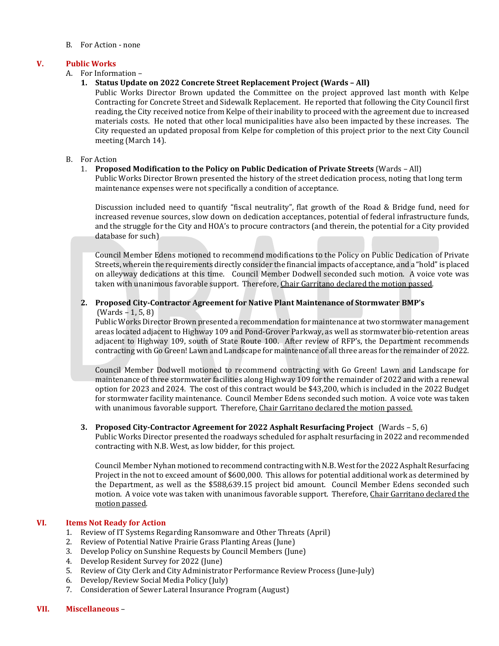#### B. For Action - none

### **V. Public Works**

### A. For Information –

## **1. Status Update on 2022 Concrete Street Replacement Project (Wards – All)**

Public Works Director Brown updated the Committee on the project approved last month with Kelpe Contracting for Concrete Street and Sidewalk Replacement. He reported that following the City Council first reading, the City received notice from Kelpe of their inability to proceed with the agreement due to increased materials costs. He noted that other local municipalities have also been impacted by these increases. The City requested an updated proposal from Kelpe for completion of this project prior to the next City Council meeting (March 14).

### B. For Action

# 1. **Proposed Modification to the Policy on Public Dedication of Private Streets** (Wards – All)

Public Works Director Brown presented the history of the street dedication process, noting that long term maintenance expenses were not specifically a condition of acceptance.

Discussion included need to quantify "fiscal neutrality", flat growth of the Road & Bridge fund, need for increased revenue sources, slow down on dedication acceptances, potential of federal infrastructure funds, and the struggle for the City and HOA's to procure contractors (and therein, the potential for a City provided database for such)

Council Member Edens motioned to recommend modifications to the Policy on Public Dedication of Private Streets, wherein the requirements directly consider the financial impacts of acceptance, and a "hold" is placed on alleyway dedications at this time. Council Member Dodwell seconded such motion. A voice vote was taken with unanimous favorable support. Therefore, Chair Garritano declared the motion passed.

# **2. Proposed City-Contractor Agreement for Native Plant Maintenance of Stormwater BMP's**  $(Wards - 1, 5, 8)$

Public Works Director Brown presented a recommendation for maintenance at two stormwater management areas located adjacent to Highway 109 and Pond-Grover Parkway, as well as stormwater bio-retention areas adjacent to Highway 109, south of State Route 100. After review of RFP's, the Department recommends contracting with Go Green! Lawn and Landscape for maintenance of all three areas for the remainder of 2022.

Council Member Dodwell motioned to recommend contracting with Go Green! Lawn and Landscape for maintenance of three stormwater facilities along Highway 109 for the remainder of 2022 and with a renewal option for 2023 and 2024. The cost of this contract would be \$43,200, which is included in the 2022 Budget for stormwater facility maintenance. Council Member Edens seconded such motion. A voice vote was taken with unanimous favorable support. Therefore, Chair Garritano declared the motion passed.

# **3. Proposed City-Contractor Agreement for 2022 Asphalt Resurfacing Project** (Wards – 5, 6)

Public Works Director presented the roadways scheduled for asphalt resurfacing in 2022 and recommended contracting with N.B. West, as low bidder, for this project.

Council Member Nyhan motioned to recommend contracting with N.B. West for the 2022 Asphalt Resurfacing Project in the not to exceed amount of \$600,000. This allows for potential additional work as determined by the Department, as well as the \$588,639.15 project bid amount. Council Member Edens seconded such motion. A voice vote was taken with unanimous favorable support. Therefore, Chair Garritano declared the motion passed.

# **VI. Items Not Ready for Action**

- 1. Review of IT Systems Regarding Ransomware and Other Threats (April)<br>2. Review of Potential Native Prairie Grass Planting Areas (June)
- 2. Review of Potential Native Prairie Grass Planting Areas (June)<br>3. Develop Policy on Sunshine Requests by Council Members (Jun
- 3. Develop Policy on Sunshine Requests by Council Members (June)
- 4. Develop Resident Survey for 2022 (June)<br>5. Review of City Clerk and City Administrat
- 5. Review of City Clerk and City Administrator Performance Review Process (June-July)
- 6. Develop/Review Social Media Policy (July)
- 7. Consideration of Sewer Lateral Insurance Program (August)

### **VII. Miscellaneous** –